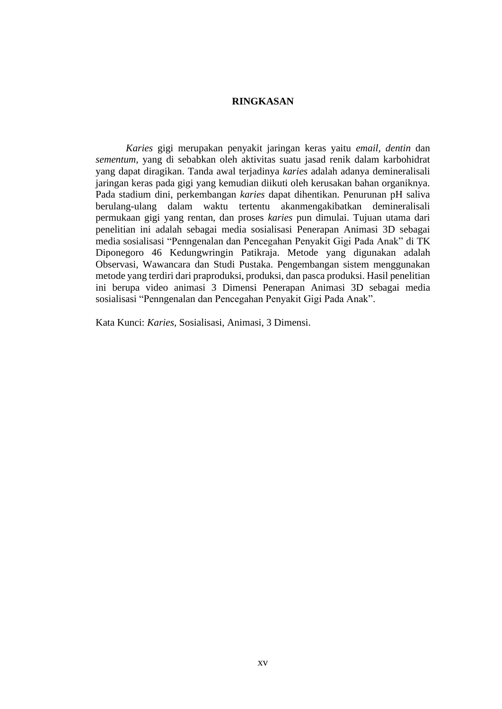## **RINGKASAN**

*Karies* gigi merupakan penyakit jaringan keras yaitu *email, dentin* dan *sementum*, yang di sebabkan oleh aktivitas suatu jasad renik dalam karbohidrat yang dapat diragikan. Tanda awal terjadinya *karies* adalah adanya demineralisali jaringan keras pada gigi yang kemudian diikuti oleh kerusakan bahan organiknya. Pada stadium dini, perkembangan *karies* dapat dihentikan. Penurunan pH saliva berulang-ulang dalam waktu tertentu akanmengakibatkan demineralisali permukaan gigi yang rentan, dan proses *karies* pun dimulai. Tujuan utama dari penelitian ini adalah sebagai media sosialisasi Penerapan Animasi 3D sebagai media sosialisasi "Penngenalan dan Pencegahan Penyakit Gigi Pada Anak" di TK Diponegoro 46 Kedungwringin Patikraja. Metode yang digunakan adalah Observasi, Wawancara dan Studi Pustaka. Pengembangan sistem menggunakan metode yang terdiri dari praproduksi, produksi, dan pasca produksi. Hasil penelitian ini berupa video animasi 3 Dimensi Penerapan Animasi 3D sebagai media sosialisasi "Penngenalan dan Pencegahan Penyakit Gigi Pada Anak".

Kata Kunci: *Karies*, Sosialisasi, Animasi, 3 Dimensi.